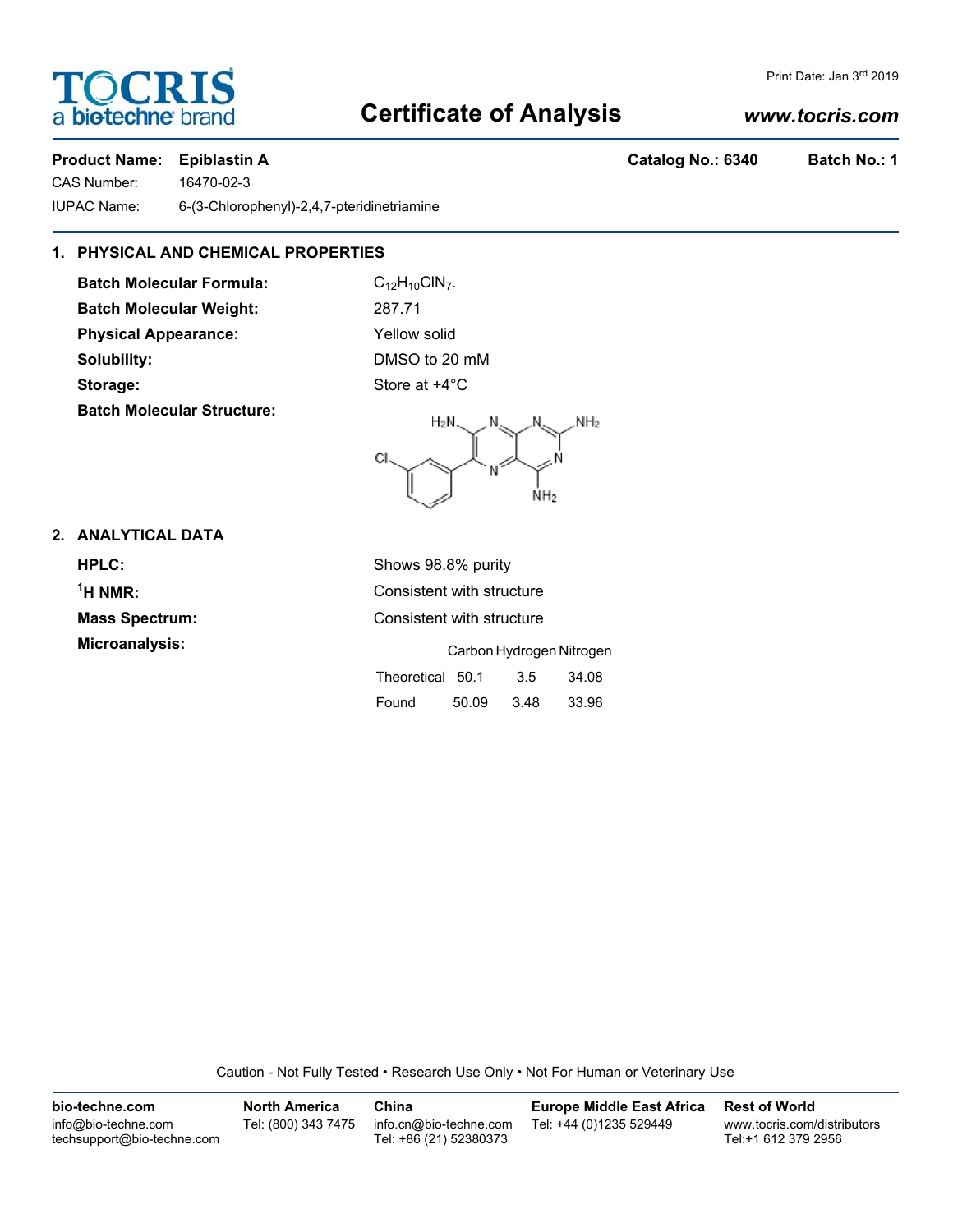# **Certificate of Analysis**

# *www.tocris.com*

# **Product Name: Epiblastin A Catalog No.: 6340 Batch No.: 1**

CAS Number: 16470-02-3 IUPAC Name: 6-(3-Chlorophenyl)-2,4,7-pteridinetriamine

# **1. PHYSICAL AND CHEMICAL PROPERTIES**

**Batch Molecular Formula:** C<sub>12</sub>H<sub>10</sub>ClN<sub>7</sub>. **Batch Molecular Weight:** 287.71 **Physical Appearance:** Yellow solid **Solubility:** DMSO to 20 mM **Storage:** Store at  $+4^{\circ}$ C **Batch Molecular Structure:**



Found 50.09 3.48 33.96

## **2. ANALYTICAL DATA**

**HPLC:** Shows 98.8% purity  $<sup>1</sup>H NMR$ :</sup> **Consistent with structure Mass Spectrum:** Consistent with structure **Microanalysis:** Carbon Hydrogen Nitrogen Theoretical 50.1 3.5 34.08

Caution - Not Fully Tested • Research Use Only • Not For Human or Veterinary Use

| bio-techne.com                                    | <b>North America</b> | China                                            | <b>Europe Middle East Africa</b> | <b>Rest of World</b>                               |
|---------------------------------------------------|----------------------|--------------------------------------------------|----------------------------------|----------------------------------------------------|
| info@bio-techne.com<br>techsupport@bio-techne.com | Tel: (800) 343 7475  | info.cn@bio-techne.com<br>Tel: +86 (21) 52380373 | Tel: +44 (0)1235 529449          | www.tocris.com/distributors<br>Tel:+1 612 379 2956 |

**TOCRIS** a **bio-techne** br